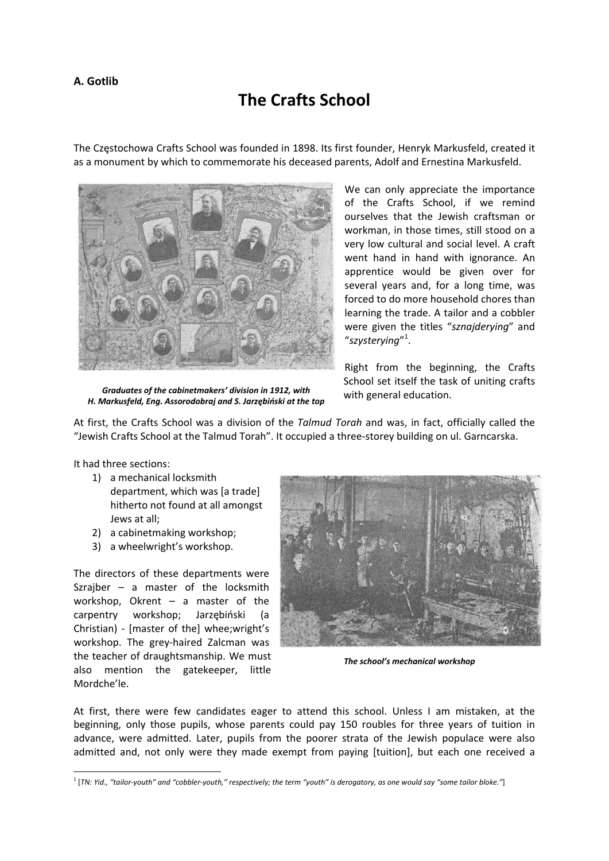## **A. Gotlib**

## **The Crafts School**

The Częstochowa Crafts School was founded in 1898. Its first founder, Henryk Markusfeld, created it as a monument by which to commemorate his deceased parents, Adolf and Ernestina Markusfeld.



We can only appreciate the importance of the Crafts School, if we remind ourselves that the Jewish craftsman or workman, in those times, still stood on a very low cultural and social level. A craft went hand in hand with ignorance. An apprentice would be given over for several years and, for a long time, was forced to do more household chores than learning the trade. A tailor and a cobbler were given the titles "*sznajderying*" and "*szysterying*" 1 .

Right from the beginning, the Crafts School set itself the task of uniting crafts with general education.

*Graduates of the cabinetmakers' division in 1912, with H. Markusfeld, Eng. Assorodobraj and S. Jarzębiński at the top*

At first, the Crafts School was a division of the *Talmud Torah* and was, in fact, officially called the "Jewish Crafts School at the Talmud Torah". It occupied a three‐storey building on ul. Garncarska.

It had three sections:

- 1) a mechanical locksmith department, which was [a trade] hitherto not found at all amongst Jews at all;
- 2) a cabinetmaking workshop;
- 3) a wheelwright's workshop.

The directors of these departments were Szrajber – a master of the locksmith workshop, Okrent – a master of the carpentry workshop; Jarzębiński (a Christian) ‐ [master of the] whee;wright's workshop. The grey‐haired Zalcman was the teacher of draughtsmanship. We must also mention the gatekeeper, little Mordche'le.



*The school's mechanical workshop*

At first, there were few candidates eager to attend this school. Unless I am mistaken, at the beginning, only those pupils, whose parents could pay 150 roubles for three years of tuition in advance, were admitted. Later, pupils from the poorer strata of the Jewish populace were also admitted and, not only were they made exempt from paying [tuition], but each one received a

<sup>&</sup>lt;sup>1</sup> [TN: Yid., "tailor-youth" and "cobbler-youth," respectively; the term "youth" is derogatory, as one would say "some tailor bloke."]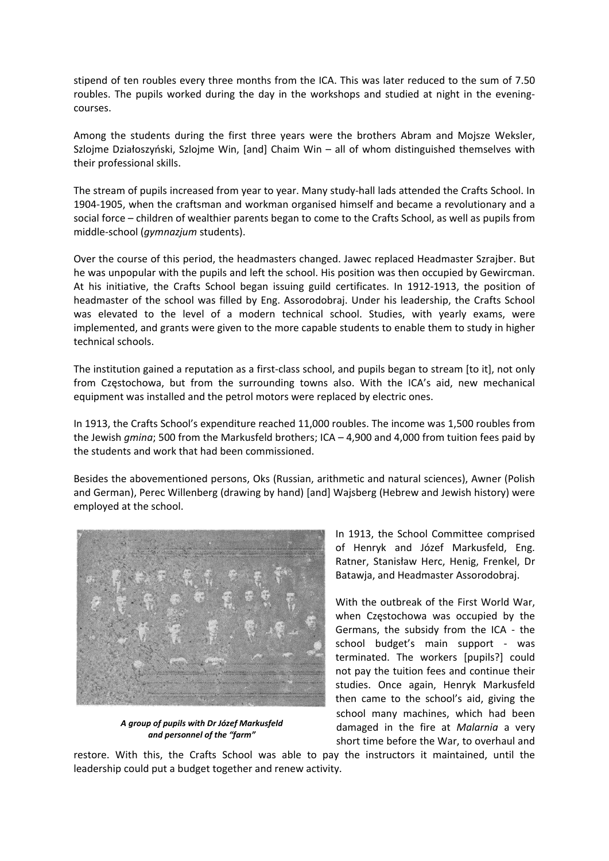stipend of ten roubles every three months from the ICA. This was later reduced to the sum of 7.50 roubles. The pupils worked during the day in the workshops and studied at night in the eveningcourses.

Among the students during the first three years were the brothers Abram and Mojsze Weksler, Szlojme Działoszyński, Szlojme Win, [and] Chaim Win – all of whom distinguished themselves with their professional skills.

The stream of pupils increased from year to year. Many study‐hall lads attended the Crafts School. In 1904‐1905, when the craftsman and workman organised himself and became a revolutionary and a social force – children of wealthier parents began to come to the Crafts School, as well as pupils from middle‐school (*gymnazjum* students).

Over the course of this period, the headmasters changed. Jawec replaced Headmaster Szrajber. But he was unpopular with the pupils and left the school. His position was then occupied by Gewircman. At his initiative, the Crafts School began issuing guild certificates. In 1912‐1913, the position of headmaster of the school was filled by Eng. Assorodobraj. Under his leadership, the Crafts School was elevated to the level of a modern technical school. Studies, with yearly exams, were implemented, and grants were given to the more capable students to enable them to study in higher technical schools.

The institution gained a reputation as a first-class school, and pupils began to stream [to it], not only from Częstochowa, but from the surrounding towns also. With the ICA's aid, new mechanical equipment was installed and the petrol motors were replaced by electric ones.

In 1913, the Crafts School's expenditure reached 11,000 roubles. The income was 1,500 roubles from the Jewish *gmina*; 500 from the Markusfeld brothers; ICA – 4,900 and 4,000 from tuition fees paid by the students and work that had been commissioned.

Besides the abovementioned persons, Oks (Russian, arithmetic and natural sciences), Awner (Polish and German), Perec Willenberg (drawing by hand) [and] Wajsberg (Hebrew and Jewish history) were employed at the school.



*A group of pupils with Dr Józef Markusfeld and personnel of the "farm"*

In 1913, the School Committee comprised of Henryk and Józef Markusfeld, Eng. Ratner, Stanisław Herc, Henig, Frenkel, Dr Batawja, and Headmaster Assorodobraj.

With the outbreak of the First World War, when Częstochowa was occupied by the Germans, the subsidy from the ICA ‐ the school budget's main support - was terminated. The workers [pupils?] could not pay the tuition fees and continue their studies. Once again, Henryk Markusfeld then came to the school's aid, giving the school many machines, which had been damaged in the fire at *Malarnia* a very short time before the War, to overhaul and

restore. With this, the Crafts School was able to pay the instructors it maintained, until the leadership could put a budget together and renew activity.